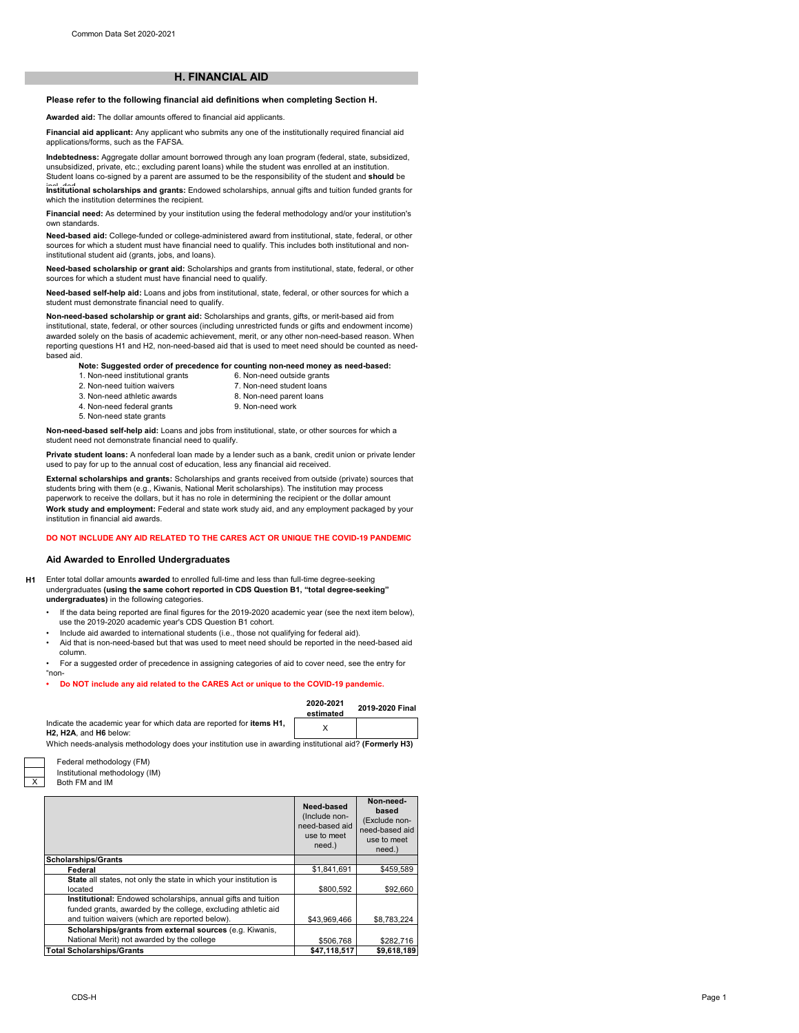# **H. FINANCIAL AID**

# **Please refer to the following financial aid definitions when completing Section H.**

**Awarded aid:** The dollar amounts offered to financial aid applicants.

**Financial aid applicant:** Any applicant who submits any one of the institutionally required financial aid applications/forms, such as the FAFSA.

**Indebtedness:** Aggregate dollar amount borrowed through any loan program (federal, state, subsidized, unsubsidized, private, etc.; excluding parent loans) while the student was enrolled at an institution.

institutional scholarships and grants: Endowed scholarships, annual gifts and tuition funded grants for which the institution determines the recipient. Student loans co-signed by a parent are assumed to be the responsibility of the student and **should** be

**Financial need:** As determined by your institution using the federal methodology and/or your institution's own standards.

**Need-based aid:** College-funded or college-administered award from institutional, state, federal, or other sources for which a student must have financial need to qualify. This includes both institutional and noninstitutional student aid (grants, jobs, and loans).

**Need-based scholarship or grant aid:** Scholarships and grants from institutional, state, federal, or other sources for which a student must have financial need to qualify.

**Need-based self-help aid:** Loans and jobs from institutional, state, federal, or other sources for which a student must demonstrate financial need to qualify.

**Non-need-based scholarship or grant aid:** Scholarships and grants, gifts, or merit-based aid from institutional, state, federal, or other sources (including unrestricted funds or gifts and endowment income) awarded solely on the basis of academic achievement, merit, or any other non-need-based reason. When reporting questions H1 and H2, non-need-based aid that is used to meet need should be counted as needbased aid.

**Note: Suggested order of precedence for counting non-need money as need-based:**

1. Non-need institutional grants 2. Non-need tuition waivers 3. Non-need athletic awards

- 8. Non-need parent loans 6. Non-need outside grants 7. Non-need student loans
- 4. Non-need federal grants 5. Non-need state grants

9. Non-need work

**Non-need-based self-help aid:** Loans and jobs from institutional, state, or other sources for which a student need not demonstrate financial need to qualify.

**Private student loans:** A nonfederal loan made by a lender such as a bank, credit union or private lender used to pay for up to the annual cost of education, less any financial aid received.

**External scholarships and grants:** Scholarships and grants received from outside (private) sources that students bring with them (e.g., Kiwanis, National Merit scholarships). The institution may process paperwork to receive the dollars, but it has no role in determining the recipient or the dollar amount **Work study and employment:** Federal and state work study aid, and any employment packaged by your institution in financial aid awards.

## **DO NOT INCLUDE ANY AID RELATED TO THE CARES ACT OR UNIQUE THE COVID-19 PANDEMIC**

### **Aid Awarded to Enrolled Undergraduates**

- **H1** Enter total dollar amounts **awarded** to enrolled full-time and less than full-time degree-seeking undergraduates **(using the same cohort reported in CDS Question B1, "total degree-seeking" undergraduates)** in the following categories.
	- If the data being reported are final figures for the 2019-2020 academic year (see the next item below), use the 2019-2020 academic year's CDS Question B1 cohort.
	- Include aid awarded to international students (i.e., those not qualifying for federal aid). • Aid that is non-need-based but that was used to meet need should be reported in the need-based aid
	- column. • For a suggested order of precedence in assigning categories of aid to cover need, see the entry for "non-

### **• Do NOT include any aid related to the CARES Act or unique to the COVID-19 pandemic.**

| 2020 2021<br>estimated | 2019-2020 Final |
|------------------------|-----------------|
|                        |                 |

| Indicate the academic year for which data are reported for items H1,                                |  |
|-----------------------------------------------------------------------------------------------------|--|
| H2. H2A. and H6 below:                                                                              |  |
| Mbiak waada awalysis wadkadalawy daas yoo institution yoo in syysdiga institutional sid0 /Eography) |  |

Which needs-analysis methodology does your institution use in awarding institutional aid? **(Formerly H3)**

| Federal methodology (FM)       |
|--------------------------------|
| Institutional methodology (IM) |
| Both FM and IM                 |

X

|                                                                                                                                                                                   | Need-based<br>(Include non-<br>need-based aid<br>use to meet<br>need.) | Non-need-<br>based<br>(Exclude non-<br>need-based aid<br>use to meet<br>need.) |
|-----------------------------------------------------------------------------------------------------------------------------------------------------------------------------------|------------------------------------------------------------------------|--------------------------------------------------------------------------------|
| <b>Scholarships/Grants</b>                                                                                                                                                        |                                                                        |                                                                                |
| Federal                                                                                                                                                                           | \$1.841.691                                                            | \$459.589                                                                      |
| State all states, not only the state in which your institution is<br>located                                                                                                      | \$800.592                                                              | \$92,660                                                                       |
| Institutional: Endowed scholarships, annual gifts and tuition<br>funded grants, awarded by the college, excluding athletic aid<br>and tuition waivers (which are reported below). | \$43,969,466                                                           | \$8,783,224                                                                    |
| Scholarships/grants from external sources (e.g. Kiwanis,<br>National Merit) not awarded by the college                                                                            | \$506.768                                                              | \$282.716                                                                      |
| <b>Total Scholarships/Grants</b>                                                                                                                                                  | \$47,118,517                                                           | \$9,618,189                                                                    |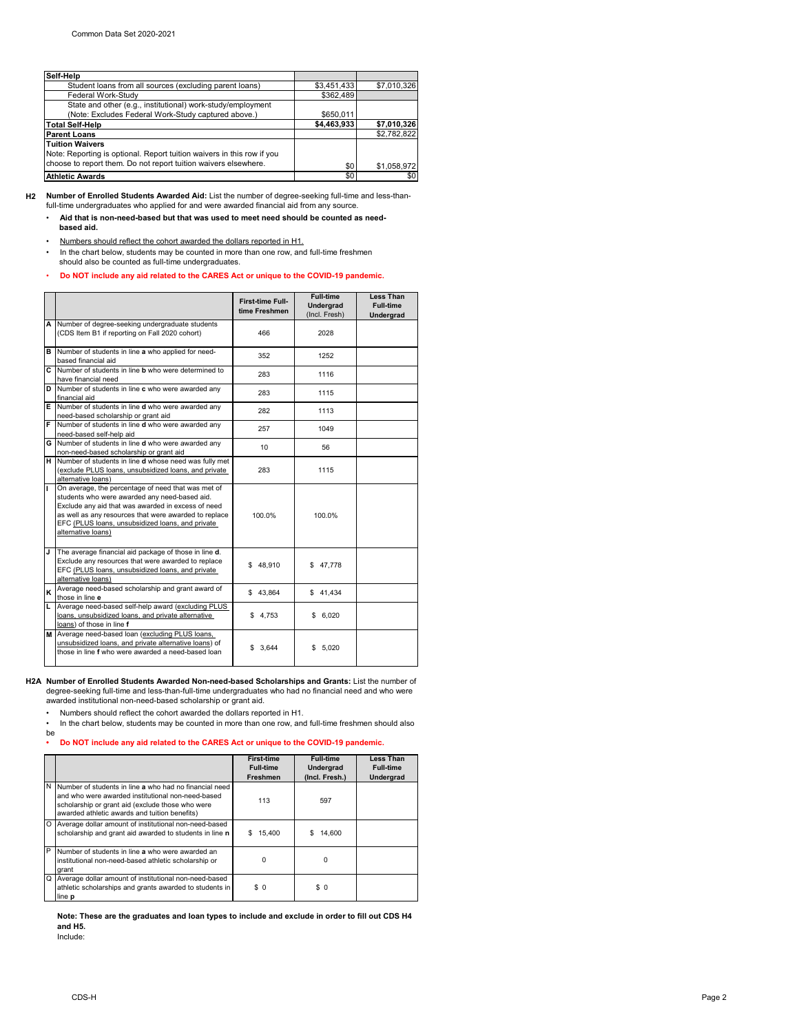| Self Help                                                              |             |             |
|------------------------------------------------------------------------|-------------|-------------|
| Student loans from all sources (excluding parent loans)                | \$3,451,433 | \$7,010,326 |
| Federal Work-Study                                                     | \$362,489   |             |
| State and other (e.g., institutional) work-study/employment            |             |             |
| (Note: Excludes Federal Work-Study captured above.)                    | \$650.011   |             |
| <b>Total Self-Help</b>                                                 | \$4,463,933 | \$7,010,326 |
| <b>Parent Loans</b>                                                    |             | \$2.782.822 |
| <b>Tuition Waivers</b>                                                 |             |             |
| Note: Reporting is optional. Report tuition waivers in this row if you |             |             |
| choose to report them. Do not report tuition waivers elsewhere.        | \$0         | \$1,058,972 |
| <b>Athletic Awards</b>                                                 | \$0         | \$0         |

**H2 Number of Enrolled Students Awarded Aid:** List the number of degree-seeking full-time and less-than-full-time undergraduates who applied for and were awarded financial aid from any source.

• **Aid that is non-need-based but that was used to meet need should be counted as need based aid.**

• Numbers should reflect the cohort awarded the dollars reported in H1.

In the chart below, students may be counted in more than one row, and full-time freshmen should also be counted as full-time undergraduates.

• **Do NOT include any aid related to the CARES Act or unique to the COVID-19 pandemic.**

|    |                                                                                                                                                                                                                                                                                              | <b>First-time Full-</b><br>time Freshmen | <b>Full-time</b><br>Undergrad | <b>Less Than</b><br><b>Full-time</b> |
|----|----------------------------------------------------------------------------------------------------------------------------------------------------------------------------------------------------------------------------------------------------------------------------------------------|------------------------------------------|-------------------------------|--------------------------------------|
|    |                                                                                                                                                                                                                                                                                              |                                          | (Incl. Fresh)                 | Undergrad                            |
| A  | Number of degree-seeking undergraduate students<br>(CDS Item B1 if reporting on Fall 2020 cohort)                                                                                                                                                                                            | 466                                      | 2028                          |                                      |
| в  | Number of students in line a who applied for need-<br>based financial aid                                                                                                                                                                                                                    | 352                                      | 1252                          |                                      |
| c  | Number of students in line <b>b</b> who were determined to<br>have financial need                                                                                                                                                                                                            | 283                                      | 1116                          |                                      |
| D  | Number of students in line c who were awarded any<br>financial aid                                                                                                                                                                                                                           | 283                                      | 1115                          |                                      |
| E. | Number of students in line <b>d</b> who were awarded any<br>need-based scholarship or grant aid                                                                                                                                                                                              | 282                                      | 1113                          |                                      |
| F  | Number of students in line <b>d</b> who were awarded any<br>need-based self-help aid                                                                                                                                                                                                         | 257                                      | 1049                          |                                      |
|    | G Number of students in line d who were awarded any<br>non-need-based scholarship or grant aid                                                                                                                                                                                               | 10 <sup>1</sup>                          | 56                            |                                      |
| н  | Number of students in line d whose need was fully met<br>(exclude PLUS loans, unsubsidized loans, and private<br>alternative loans)                                                                                                                                                          | 283                                      | 1115                          |                                      |
| т  | On average, the percentage of need that was met of<br>students who were awarded any need-based aid.<br>Exclude any aid that was awarded in excess of need<br>as well as any resources that were awarded to replace<br>EFC (PLUS loans, unsubsidized loans, and private<br>alternative loans) | 100.0%                                   | 100.0%                        |                                      |
| J  | The average financial aid package of those in line d.<br>Exclude any resources that were awarded to replace<br>EFC (PLUS loans, unsubsidized loans, and private<br>alternative loans)                                                                                                        | \$48.910                                 | \$47.778                      |                                      |
| ĸ  | Average need-based scholarship and grant award of<br>those in line e                                                                                                                                                                                                                         | \$43,864                                 | \$41,434                      |                                      |
| Ĺ. | Average need-based self-help award (excluding PLUS<br>loans, unsubsidized loans, and private alternative<br>loans) of those in line f                                                                                                                                                        | \$4,753                                  | \$6,020                       |                                      |
| M  | Average need-based loan (excluding PLUS loans,<br>unsubsidized loans, and private alternative loans) of<br>those in line f who were awarded a need-based loan                                                                                                                                | \$3,644                                  | \$5,020                       |                                      |

**H2A Number of Enrolled Students Awarded Non-need-based Scholarships and Grants:** List the number of degree-seeking full-time and less-than-full-time undergraduates who had no financial need and who were awarded institutional non-need-based scholarship or grant aid.

• Numbers should reflect the cohort awarded the dollars reported in H1.<br>• In the chart below, students may be counted in more than one row, and

In the chart below, students may be counted in more than one row, and full-time freshmen should also

### be **• Do NOT include any aid related to the CARES Act or unique to the COVID-19 pandemic.**

|   |                                                                                                                                                                                                                  | <b>First-time</b><br><b>Full-time</b><br>Freshmen | <b>Full-time</b><br>Undergrad<br>(Incl. Fresh.) | <b>Less Than</b><br><b>Full-time</b><br>Undergrad |
|---|------------------------------------------------------------------------------------------------------------------------------------------------------------------------------------------------------------------|---------------------------------------------------|-------------------------------------------------|---------------------------------------------------|
| N | Number of students in line a who had no financial need<br>and who were awarded institutional non-need-based<br>scholarship or grant aid (exclude those who were<br>awarded athletic awards and tuition benefits) | 113                                               | 597                                             |                                                   |
| O | Average dollar amount of institutional non-need-based<br>scholarship and grant aid awarded to students in line n                                                                                                 | 15.400<br>S.                                      | 14,600<br>S.                                    |                                                   |
| P | Number of students in line a who were awarded an<br>institutional non-need-based athletic scholarship or<br>grant                                                                                                | n                                                 | 0                                               |                                                   |
| Q | Average dollar amount of institutional non-need-based<br>athletic scholarships and grants awarded to students in<br>line p                                                                                       | \$0                                               | \$0                                             |                                                   |

**Note: These are the graduates and loan types to include and exclude in order to fill out CDS H4 and H5.** 

Include: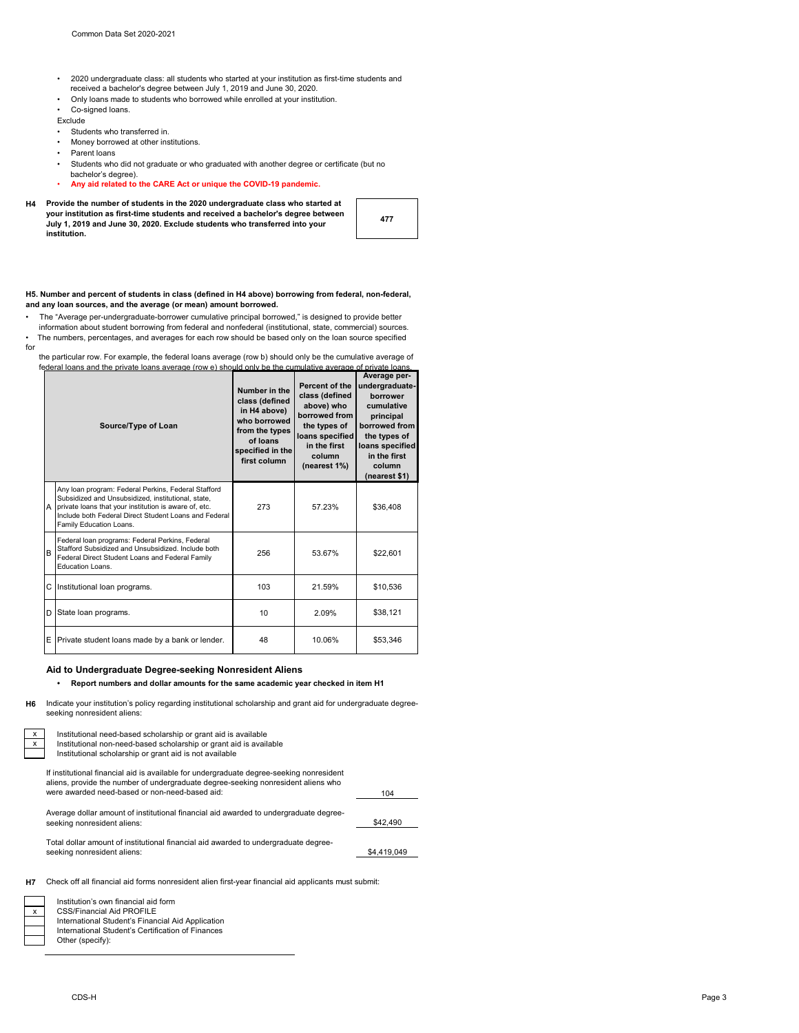- •2020 undergraduate class: all students who started at your institution as first-time students and received a bachelor's degree between July 1, 2019 and June 30, 2020.
- Only loans made to students who borrowed while enrolled at your institution.
- Co-signed loans.
- Exclude
- 
- Students who transferred in.<br>• Money borrowed at other ins • Money borrowed at other institutions.
- Parent loans
- Students who did not graduate or who graduated with another degree or certificate (but no
- bachelor's degree).
- **Any aid related to the CARE Act or unique the COVID-19 pandemic.**
- **H4 Provide the number of students in the 2020 undergraduate class who started at your institution as first-time students and received a bachelor's degree between July 1, 2019 and June 30, 2020. Exclude students who transferred into your institution.**

| 477 |
|-----|
|-----|

### **H5. Number and percent of students in class (defined in H4 above) borrowing from federal, non-federal, and any loan sources, and the average (or mean) amount borrowed.**

- The "Average per-undergraduate-borrower cumulative principal borrowed," is designed to provide better
- The numbers, percentages, and averages for each row should be based only on the loan source specified for information about student borrowing from federal and nonfederal (institutional, state, commercial) sources.

 the particular row. For example, the federal loans average (row b) should only be the cumulative average of federal loans and the private loans average (row e) should only be the cumulative average of private average of private  $\frac{1}{2}$ 

| Source/Type of Loan |                                                                                                                                                                                                                                                        | Number in the<br>class (defined<br>in H4 above)<br>who borrowed<br>from the types<br>of loans<br>specified in the<br>first column | Percent of the<br>class (defined<br>above) who<br>borrowed from<br>the types of<br>loans specified<br>in the first<br>column<br>(nearest 1%) | Average per-<br>undergraduate-<br>borrower<br>cumulative<br>principal<br>borrowed from<br>the types of<br>loans specified<br>in the first<br>column<br>(nearest \$1) |
|---------------------|--------------------------------------------------------------------------------------------------------------------------------------------------------------------------------------------------------------------------------------------------------|-----------------------------------------------------------------------------------------------------------------------------------|----------------------------------------------------------------------------------------------------------------------------------------------|----------------------------------------------------------------------------------------------------------------------------------------------------------------------|
| A                   | Any loan program: Federal Perkins, Federal Stafford<br>Subsidized and Unsubsidized, institutional, state,<br>private loans that your institution is aware of, etc.<br>Include both Federal Direct Student Loans and Federal<br>Family Education Loans. | 273                                                                                                                               | 57.23%                                                                                                                                       | \$36,408                                                                                                                                                             |
| B                   | Federal loan programs: Federal Perkins, Federal<br>Stafford Subsidized and Unsubsidized. Include both<br>Federal Direct Student Loans and Federal Family<br>Education Loans.                                                                           | 256                                                                                                                               | 53.67%                                                                                                                                       | \$22,601                                                                                                                                                             |
| C                   | Institutional loan programs.                                                                                                                                                                                                                           | 103                                                                                                                               | 21.59%                                                                                                                                       | \$10,536                                                                                                                                                             |
| D                   | State loan programs.                                                                                                                                                                                                                                   | 10                                                                                                                                | 2.09%                                                                                                                                        | \$38,121                                                                                                                                                             |
| E                   | Private student loans made by a bank or lender.                                                                                                                                                                                                        | 48                                                                                                                                | 10.06%                                                                                                                                       | \$53,346                                                                                                                                                             |

# **Aid to Undergraduate Degree-seeking Nonresident Aliens**

**• Report numbers and dollar amounts for the same academic year checked in item H1**

**H6** Indicate your institution's policy regarding institutional scholarship and grant aid for undergraduate degreeseeking nonresident aliens:

| Institutional need-based scholarship or grant aid is available<br>Institutional non-need-based scholarship or grant aid is available<br>Institutional scholarship or grant aid is not available                                 |             |
|---------------------------------------------------------------------------------------------------------------------------------------------------------------------------------------------------------------------------------|-------------|
| If institutional financial aid is available for undergraduate degree-seeking nonresident<br>aliens, provide the number of undergraduate degree-seeking nonresident aliens who<br>were awarded need-based or non-need-based aid: | 104         |
| Average dollar amount of institutional financial aid awarded to undergraduate degree-<br>seeking nonresident aliens:                                                                                                            | \$42,490    |
| Total dollar amount of institutional financial aid awarded to undergraduate degree-<br>seeking nonresident aliens:                                                                                                              | \$4,419,049 |
|                                                                                                                                                                                                                                 |             |



L

Check off all financial aid forms nonresident alien first-year financial aid applicants must submit: